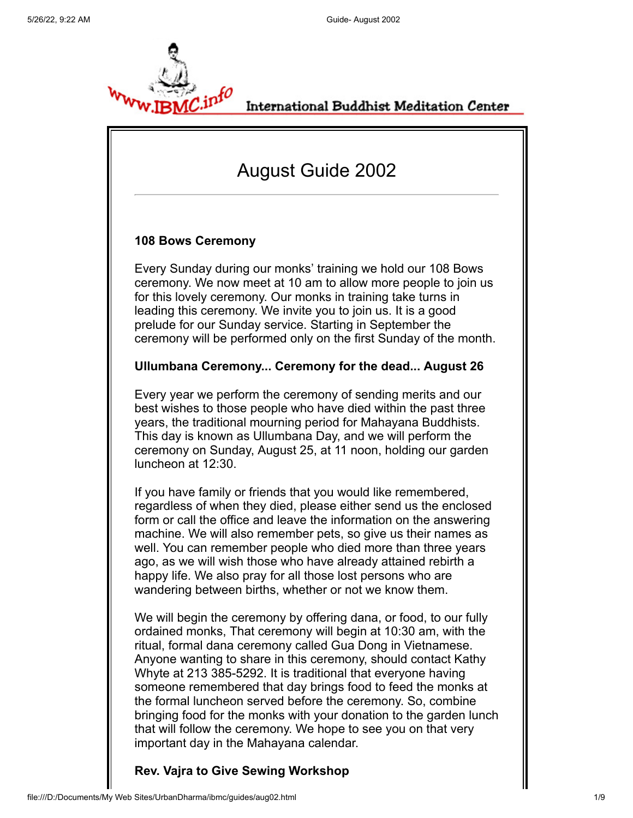

International Buddhist Meditation Center

# August Guide 2002

# **108 Bows Ceremony**

Every Sunday during our monks' training we hold our 108 Bows ceremony. We now meet at 10 am to allow more people to join us for this lovely ceremony. Our monks in training take turns in leading this ceremony. We invite you to join us. It is a good prelude for our Sunday service. Starting in September the ceremony will be performed only on the first Sunday of the month.

## **Ullumbana Ceremony... Ceremony for the dead... August 26**

Every year we perform the ceremony of sending merits and our best wishes to those people who have died within the past three years, the traditional mourning period for Mahayana Buddhists. This day is known as Ullumbana Day, and we will perform the ceremony on Sunday, August 25, at 11 noon, holding our garden luncheon at 12:30.

If you have family or friends that you would like remembered, regardless of when they died, please either send us the enclosed form or call the office and leave the information on the answering machine. We will also remember pets, so give us their names as well. You can remember people who died more than three years ago, as we will wish those who have already attained rebirth a happy life. We also pray for all those lost persons who are wandering between births, whether or not we know them.

We will begin the ceremony by offering dana, or food, to our fully ordained monks, That ceremony will begin at 10:30 am, with the ritual, formal dana ceremony called Gua Dong in Vietnamese. Anyone wanting to share in this ceremony, should contact Kathy Whyte at 213 385-5292. It is traditional that everyone having someone remembered that day brings food to feed the monks at the formal luncheon served before the ceremony. So, combine bringing food for the monks with your donation to the garden lunch that will follow the ceremony. We hope to see you on that very important day in the Mahayana calendar.

**Rev. Vajra to Give Sewing Workshop**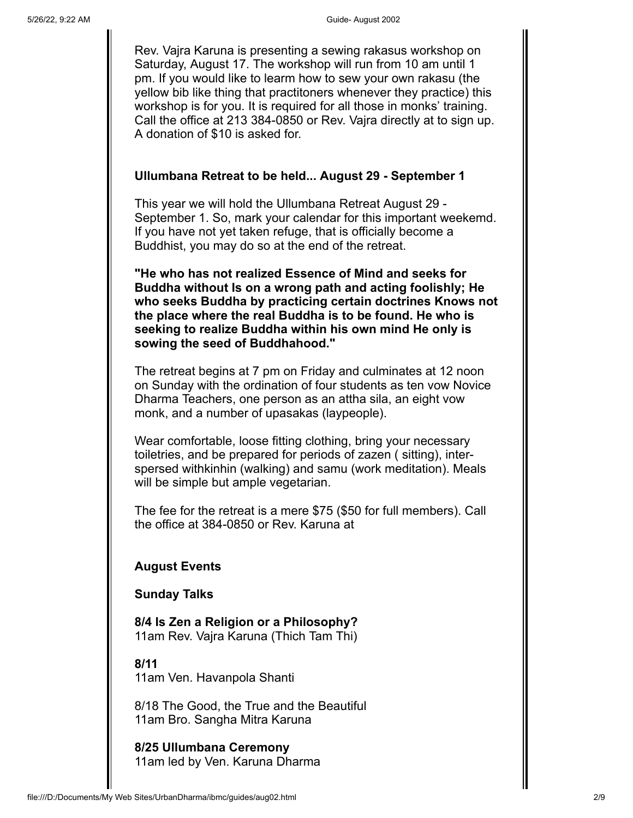Rev. Vajra Karuna is presenting a sewing rakasus workshop on Saturday, August 17. The workshop will run from 10 am until 1 pm. If you would like to learm how to sew your own rakasu (the yellow bib like thing that practitoners whenever they practice) this workshop is for you. It is required for all those in monks' training. Call the office at 213 384-0850 or Rev. Vajra directly at to sign up. A donation of \$10 is asked for.

# **Ullumbana Retreat to be held... August 29 - September 1**

This year we will hold the Ullumbana Retreat August 29 - September 1. So, mark your calendar for this important weekemd. If you have not yet taken refuge, that is officially become a Buddhist, you may do so at the end of the retreat.

**"He who has not realized Essence of Mind and seeks for Buddha without Is on a wrong path and acting foolishly; He who seeks Buddha by practicing certain doctrines Knows not the place where the real Buddha is to be found. He who is seeking to realize Buddha within his own mind He only is sowing the seed of Buddhahood."**

The retreat begins at 7 pm on Friday and culminates at 12 noon on Sunday with the ordination of four students as ten vow Novice Dharma Teachers, one person as an attha sila, an eight vow monk, and a number of upasakas (laypeople).

Wear comfortable, loose fitting clothing, bring your necessary toiletries, and be prepared for periods of zazen ( sitting), interspersed withkinhin (walking) and samu (work meditation). Meals will be simple but ample vegetarian.

The fee for the retreat is a mere \$75 (\$50 for full members). Call the office at 384-0850 or Rev. Karuna at

# **August Events**

## **Sunday Talks**

**8/4 Is Zen a Religion or a Philosophy?** 11am Rev. Vajra Karuna (Thich Tam Thi)

## **8/11**

11am Ven. Havanpola Shanti

8/18 The Good, the True and the Beautiful 11am Bro. Sangha Mitra Karuna

**8/25 Ullumbana Ceremony** 11am led by Ven. Karuna Dharma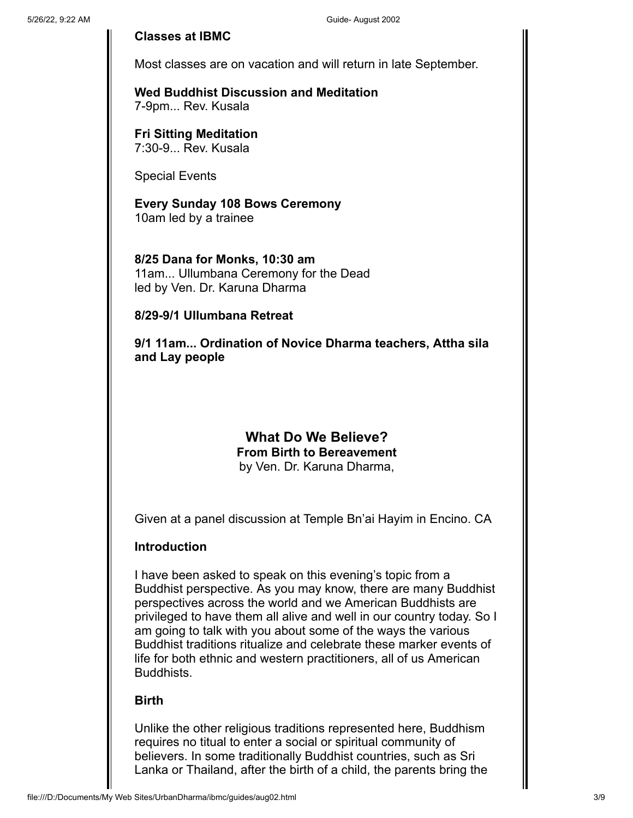## **Classes at IBMC**

Most classes are on vacation and will return in late September.

**Wed Buddhist Discussion and Meditation** 7-9pm... Rev. Kusala

**Fri Sitting Meditation** 7:30-9... Rev. Kusala

Special Events

**Every Sunday 108 Bows Ceremony** 10am led by a trainee

**8/25 Dana for Monks, 10:30 am** 11am... Ullumbana Ceremony for the Dead led by Ven. Dr. Karuna Dharma

**8/29-9/1 Ullumbana Retreat**

**9/1 11am... Ordination of Novice Dharma teachers, Attha sila and Lay people**

# **What Do We Believe? From Birth to Bereavement** by Ven. Dr. Karuna Dharma,

Given at a panel discussion at Temple Bn'ai Hayim in Encino. CA

## **Introduction**

I have been asked to speak on this evening's topic from a Buddhist perspective. As you may know, there are many Buddhist perspectives across the world and we American Buddhists are privileged to have them all alive and well in our country today. So I am going to talk with you about some of the ways the various Buddhist traditions ritualize and celebrate these marker events of life for both ethnic and western practitioners, all of us American Buddhists.

## **Birth**

Unlike the other religious traditions represented here, Buddhism requires no titual to enter a social or spiritual community of believers. In some traditionally Buddhist countries, such as Sri Lanka or Thailand, after the birth of a child, the parents bring the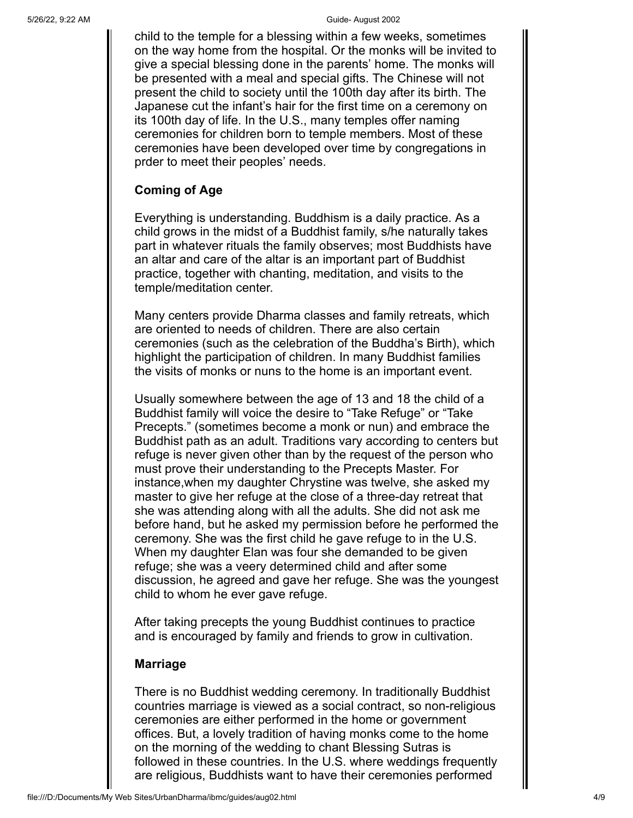child to the temple for a blessing within a few weeks, sometimes on the way home from the hospital. Or the monks will be invited to give a special blessing done in the parents' home. The monks will be presented with a meal and special gifts. The Chinese will not present the child to society until the 100th day after its birth. The Japanese cut the infant's hair for the first time on a ceremony on its 100th day of life. In the U.S., many temples offer naming ceremonies for children born to temple members. Most of these ceremonies have been developed over time by congregations in prder to meet their peoples' needs.

# **Coming of Age**

Everything is understanding. Buddhism is a daily practice. As a child grows in the midst of a Buddhist family, s/he naturally takes part in whatever rituals the family observes; most Buddhists have an altar and care of the altar is an important part of Buddhist practice, together with chanting, meditation, and visits to the temple/meditation center.

Many centers provide Dharma classes and family retreats, which are oriented to needs of children. There are also certain ceremonies (such as the celebration of the Buddha's Birth), which highlight the participation of children. In many Buddhist families the visits of monks or nuns to the home is an important event.

Usually somewhere between the age of 13 and 18 the child of a Buddhist family will voice the desire to "Take Refuge" or "Take Precepts." (sometimes become a monk or nun) and embrace the Buddhist path as an adult. Traditions vary according to centers but refuge is never given other than by the request of the person who must prove their understanding to the Precepts Master. For instance,when my daughter Chrystine was twelve, she asked my master to give her refuge at the close of a three-day retreat that she was attending along with all the adults. She did not ask me before hand, but he asked my permission before he performed the ceremony. She was the first child he gave refuge to in the U.S. When my daughter Elan was four she demanded to be given refuge; she was a veery determined child and after some discussion, he agreed and gave her refuge. She was the youngest child to whom he ever gave refuge.

After taking precepts the young Buddhist continues to practice and is encouraged by family and friends to grow in cultivation.

## **Marriage**

There is no Buddhist wedding ceremony. In traditionally Buddhist countries marriage is viewed as a social contract, so non-religious ceremonies are either performed in the home or government offices. But, a lovely tradition of having monks come to the home on the morning of the wedding to chant Blessing Sutras is followed in these countries. In the U.S. where weddings frequently are religious, Buddhists want to have their ceremonies performed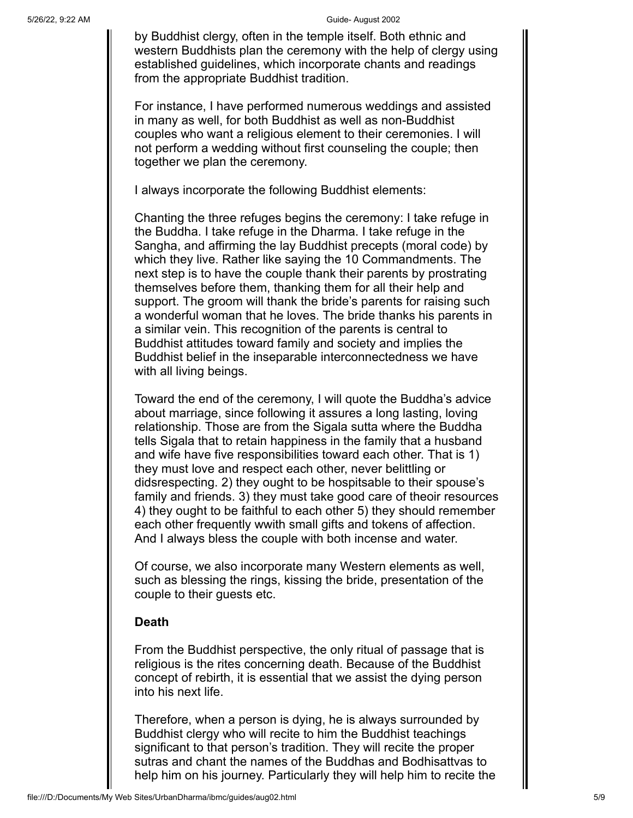by Buddhist clergy, often in the temple itself. Both ethnic and western Buddhists plan the ceremony with the help of clergy using established guidelines, which incorporate chants and readings from the appropriate Buddhist tradition.

For instance, I have performed numerous weddings and assisted in many as well, for both Buddhist as well as non-Buddhist couples who want a religious element to their ceremonies. I will not perform a wedding without first counseling the couple; then together we plan the ceremony.

I always incorporate the following Buddhist elements:

Chanting the three refuges begins the ceremony: I take refuge in the Buddha. I take refuge in the Dharma. I take refuge in the Sangha, and affirming the lay Buddhist precepts (moral code) by which they live. Rather like saying the 10 Commandments. The next step is to have the couple thank their parents by prostrating themselves before them, thanking them for all their help and support. The groom will thank the bride's parents for raising such a wonderful woman that he loves. The bride thanks his parents in a similar vein. This recognition of the parents is central to Buddhist attitudes toward family and society and implies the Buddhist belief in the inseparable interconnectedness we have with all living beings.

Toward the end of the ceremony, I will quote the Buddha's advice about marriage, since following it assures a long lasting, loving relationship. Those are from the Sigala sutta where the Buddha tells Sigala that to retain happiness in the family that a husband and wife have five responsibilities toward each other. That is 1) they must love and respect each other, never belittling or didsrespecting. 2) they ought to be hospitsable to their spouse's family and friends. 3) they must take good care of theoir resources 4) they ought to be faithful to each other 5) they should remember each other frequently wwith small gifts and tokens of affection. And I always bless the couple with both incense and water.

Of course, we also incorporate many Western elements as well, such as blessing the rings, kissing the bride, presentation of the couple to their guests etc.

# **Death**

From the Buddhist perspective, the only ritual of passage that is religious is the rites concerning death. Because of the Buddhist concept of rebirth, it is essential that we assist the dying person into his next life.

Therefore, when a person is dying, he is always surrounded by Buddhist clergy who will recite to him the Buddhist teachings significant to that person's tradition. They will recite the proper sutras and chant the names of the Buddhas and Bodhisattvas to help him on his journey. Particularly they will help him to recite the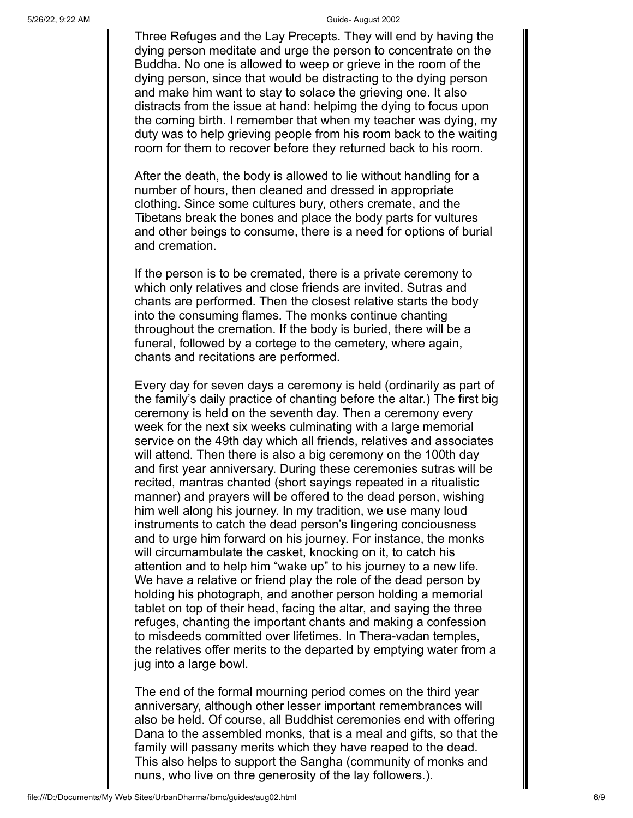Three Refuges and the Lay Precepts. They will end by having the dying person meditate and urge the person to concentrate on the Buddha. No one is allowed to weep or grieve in the room of the dying person, since that would be distracting to the dying person and make him want to stay to solace the grieving one. It also distracts from the issue at hand: helpimg the dying to focus upon the coming birth. I remember that when my teacher was dying, my duty was to help grieving people from his room back to the waiting room for them to recover before they returned back to his room.

After the death, the body is allowed to lie without handling for a number of hours, then cleaned and dressed in appropriate clothing. Since some cultures bury, others cremate, and the Tibetans break the bones and place the body parts for vultures and other beings to consume, there is a need for options of burial and cremation.

If the person is to be cremated, there is a private ceremony to which only relatives and close friends are invited. Sutras and chants are performed. Then the closest relative starts the body into the consuming flames. The monks continue chanting throughout the cremation. If the body is buried, there will be a funeral, followed by a cortege to the cemetery, where again, chants and recitations are performed.

Every day for seven days a ceremony is held (ordinarily as part of the family's daily practice of chanting before the altar.) The first big ceremony is held on the seventh day. Then a ceremony every week for the next six weeks culminating with a large memorial service on the 49th day which all friends, relatives and associates will attend. Then there is also a big ceremony on the 100th day and first year anniversary. During these ceremonies sutras will be recited, mantras chanted (short sayings repeated in a ritualistic manner) and prayers will be offered to the dead person, wishing him well along his journey. In my tradition, we use many loud instruments to catch the dead person's lingering conciousness and to urge him forward on his journey. For instance, the monks will circumambulate the casket, knocking on it, to catch his attention and to help him "wake up" to his journey to a new life. We have a relative or friend play the role of the dead person by holding his photograph, and another person holding a memorial tablet on top of their head, facing the altar, and saying the three refuges, chanting the important chants and making a confession to misdeeds committed over lifetimes. In Thera-vadan temples, the relatives offer merits to the departed by emptying water from a jug into a large bowl.

The end of the formal mourning period comes on the third year anniversary, although other lesser important remembrances will also be held. Of course, all Buddhist ceremonies end with offering Dana to the assembled monks, that is a meal and gifts, so that the family will passany merits which they have reaped to the dead. This also helps to support the Sangha (community of monks and nuns, who live on thre generosity of the lay followers.).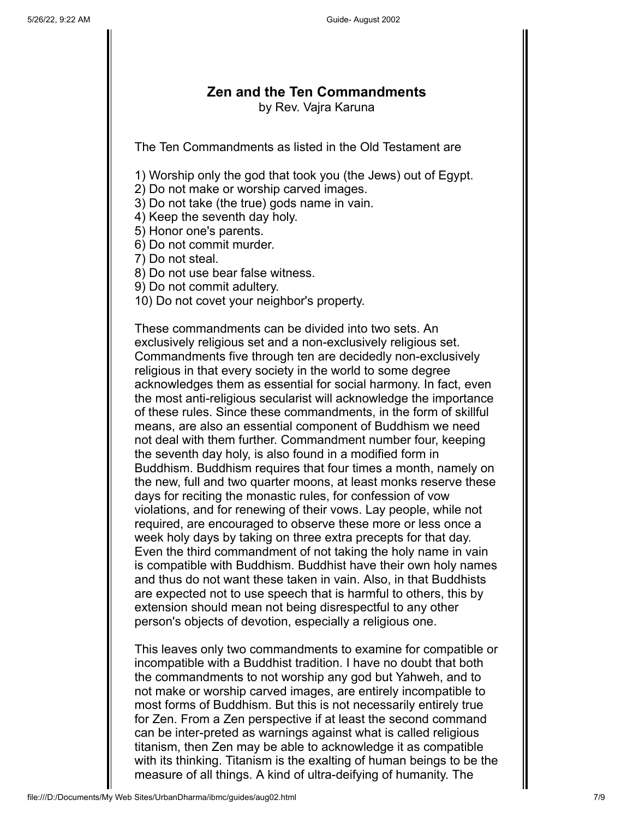# **Zen and the Ten Commandments** by Rev. Vajra Karuna

The Ten Commandments as listed in the Old Testament are

1) Worship only the god that took you (the Jews) out of Egypt.

2) Do not make or worship carved images.

3) Do not take (the true) gods name in vain.

4) Keep the seventh day holy.

5) Honor one's parents.

6) Do not commit murder.

7) Do not steal.

8) Do not use bear false witness.

9) Do not commit adultery.

10) Do not covet your neighbor's property.

These commandments can be divided into two sets. An exclusively religious set and a non-exclusively religious set. Commandments five through ten are decidedly non-exclusively religious in that every society in the world to some degree acknowledges them as essential for social harmony. In fact, even the most anti-religious secularist will acknowledge the importance of these rules. Since these commandments, in the form of skillful means, are also an essential component of Buddhism we need not deal with them further. Commandment number four, keeping the seventh day holy, is also found in a modified form in Buddhism. Buddhism requires that four times a month, namely on the new, full and two quarter moons, at least monks reserve these days for reciting the monastic rules, for confession of vow violations, and for renewing of their vows. Lay people, while not required, are encouraged to observe these more or less once a week holy days by taking on three extra precepts for that day. Even the third commandment of not taking the holy name in vain is compatible with Buddhism. Buddhist have their own holy names and thus do not want these taken in vain. Also, in that Buddhists are expected not to use speech that is harmful to others, this by extension should mean not being disrespectful to any other person's objects of devotion, especially a religious one.

This leaves only two commandments to examine for compatible or incompatible with a Buddhist tradition. I have no doubt that both the commandments to not worship any god but Yahweh, and to not make or worship carved images, are entirely incompatible to most forms of Buddhism. But this is not necessarily entirely true for Zen. From a Zen perspective if at least the second command can be inter-preted as warnings against what is called religious titanism, then Zen may be able to acknowledge it as compatible with its thinking. Titanism is the exalting of human beings to be the measure of all things. A kind of ultra-deifying of humanity. The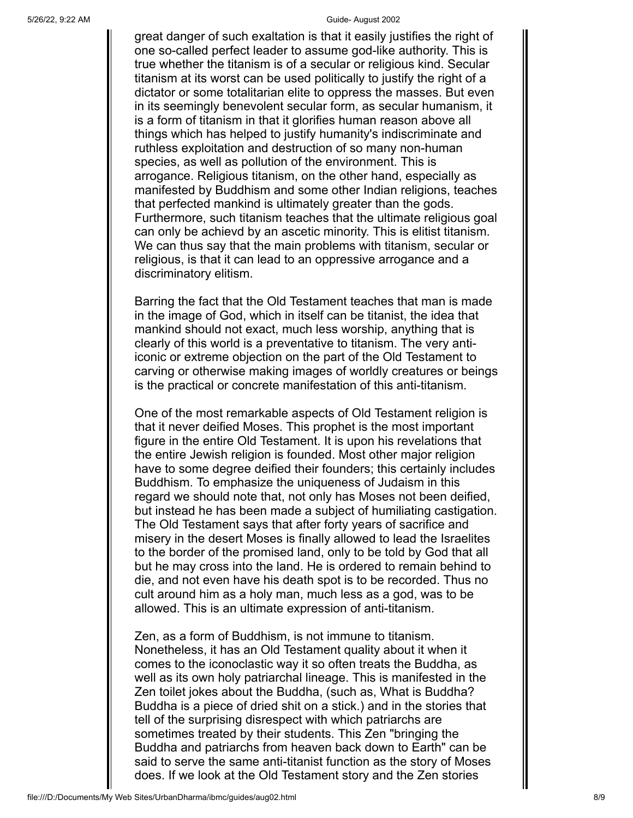great danger of such exaltation is that it easily justifies the right of one so-called perfect leader to assume god-like authority. This is true whether the titanism is of a secular or religious kind. Secular titanism at its worst can be used politically to justify the right of a dictator or some totalitarian elite to oppress the masses. But even in its seemingly benevolent secular form, as secular humanism, it is a form of titanism in that it glorifies human reason above all things which has helped to justify humanity's indiscriminate and ruthless exploitation and destruction of so many non-human species, as well as pollution of the environment. This is arrogance. Religious titanism, on the other hand, especially as manifested by Buddhism and some other Indian religions, teaches that perfected mankind is ultimately greater than the gods. Furthermore, such titanism teaches that the ultimate religious goal can only be achievd by an ascetic minority. This is elitist titanism. We can thus say that the main problems with titanism, secular or religious, is that it can lead to an oppressive arrogance and a discriminatory elitism.

Barring the fact that the Old Testament teaches that man is made in the image of God, which in itself can be titanist, the idea that mankind should not exact, much less worship, anything that is clearly of this world is a preventative to titanism. The very antiiconic or extreme objection on the part of the Old Testament to carving or otherwise making images of worldly creatures or beings is the practical or concrete manifestation of this anti-titanism.

One of the most remarkable aspects of Old Testament religion is that it never deified Moses. This prophet is the most important figure in the entire Old Testament. It is upon his revelations that the entire Jewish religion is founded. Most other major religion have to some degree deified their founders; this certainly includes Buddhism. To emphasize the uniqueness of Judaism in this regard we should note that, not only has Moses not been deified, but instead he has been made a subject of humiliating castigation. The Old Testament says that after forty years of sacrifice and misery in the desert Moses is finally allowed to lead the Israelites to the border of the promised land, only to be told by God that all but he may cross into the land. He is ordered to remain behind to die, and not even have his death spot is to be recorded. Thus no cult around him as a holy man, much less as a god, was to be allowed. This is an ultimate expression of anti-titanism.

Zen, as a form of Buddhism, is not immune to titanism. Nonetheless, it has an Old Testament quality about it when it comes to the iconoclastic way it so often treats the Buddha, as well as its own holy patriarchal lineage. This is manifested in the Zen toilet jokes about the Buddha, (such as, What is Buddha? Buddha is a piece of dried shit on a stick.) and in the stories that tell of the surprising disrespect with which patriarchs are sometimes treated by their students. This Zen "bringing the Buddha and patriarchs from heaven back down to Earth" can be said to serve the same anti-titanist function as the story of Moses does. If we look at the Old Testament story and the Zen stories